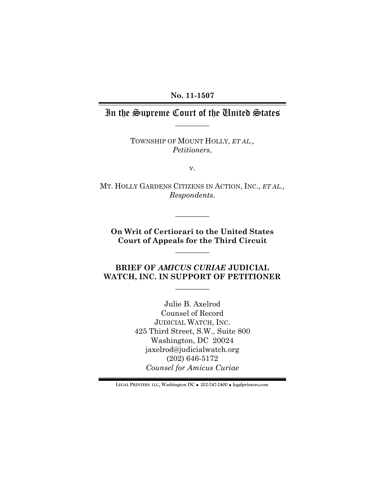### **No. 11-1507**

# $\overline{\phantom{a}}$  . The set of  $\overline{\phantom{a}}$ In the Supreme Court of the United States

TOWNSHIP OF MOUNT HOLLY, *ET AL., Petitioners*,

v.

 MT. HOLLY GARDENS CITIZENS IN ACTION, INC., *ET AL., Respondents.* 

**On Writ of Certiorari to the United States Court of Appeals for the Third Circuit** 

 $\overline{\phantom{a}}$ 

 $\overline{\phantom{a}}$ 

## **BRIEF OF** *AMICUS CURIAE* **JUDICIAL WATCH, INC. IN SUPPORT OF PETITIONER**

 $\overline{\phantom{a}}$ 

Julie B. Axelrod Counsel of Record JUDICIAL WATCH, INC. 425 Third Street, S.W., Suite 800 Washington, DC 20024 jaxelrod@judicialwatch.org (202) 646-5172 *Counsel for Amicus Curiae* 

**LEGAL PRINTERS LLC, Washington DC** ! **202-747-2400** ! **legalprinters.com**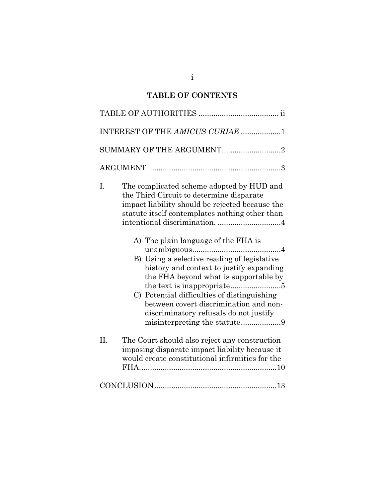# **TABLE OF CONTENTS**

|     | INTEREST OF THE AMICUS CURIAE 1                                                                                                                                                                                                                                                                                                                                                                                                                                                                                                                                         |  |
|-----|-------------------------------------------------------------------------------------------------------------------------------------------------------------------------------------------------------------------------------------------------------------------------------------------------------------------------------------------------------------------------------------------------------------------------------------------------------------------------------------------------------------------------------------------------------------------------|--|
|     | SUMMARY OF THE ARGUMENT2                                                                                                                                                                                                                                                                                                                                                                                                                                                                                                                                                |  |
|     |                                                                                                                                                                                                                                                                                                                                                                                                                                                                                                                                                                         |  |
| I.  | The complicated scheme adopted by HUD and<br>the Third Circuit to determine disparate<br>impact liability should be rejected because the<br>statute itself contemplates nothing other than<br>intentional discrimination. 4<br>A) The plain language of the FHA is<br>B) Using a selective reading of legislative<br>history and context to justify expanding<br>the FHA beyond what is supportable by<br>the text is inappropriate5<br>C) Potential difficulties of distinguishing<br>between covert discrimination and non-<br>discriminatory refusals do not justify |  |
| II. | The Court should also reject any construction<br>imposing disparate impact liability because it<br>would create constitutional infirmities for the                                                                                                                                                                                                                                                                                                                                                                                                                      |  |
|     |                                                                                                                                                                                                                                                                                                                                                                                                                                                                                                                                                                         |  |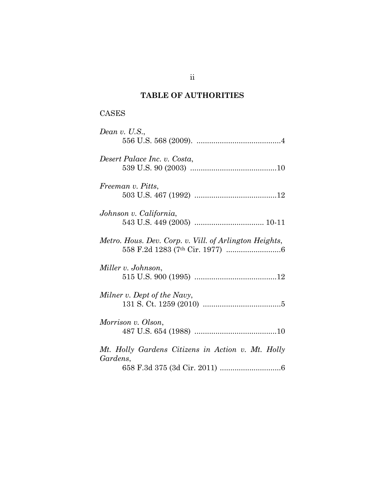# **TABLE OF AUTHORITIES**

# CASES

| Dean v. U.S.,                                          |
|--------------------------------------------------------|
| Desert Palace Inc. v. Costa,                           |
|                                                        |
| Freeman v. Pitts,                                      |
|                                                        |
| Johnson v. California,                                 |
| Metro. Hous. Dev. Corp. v. Vill. of Arlington Heights, |
|                                                        |
| Miller v. Johnson,                                     |
| Milner v. Dept of the Navy,                            |
|                                                        |
| Morrison v. Olson,                                     |
| Mt. Holly Gardens Citizens in Action v. Mt. Holly      |
| Gardens,                                               |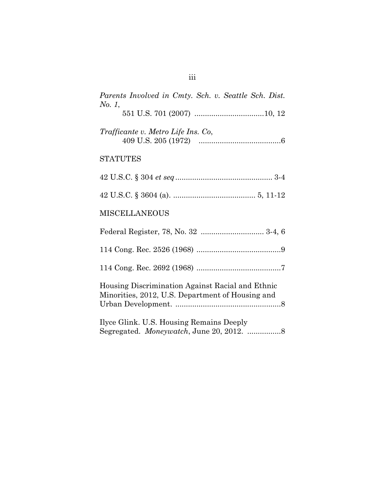| Parents Involved in Cmty. Sch. v. Seattle Sch. Dist.<br>No. 1,                                       |  |  |
|------------------------------------------------------------------------------------------------------|--|--|
|                                                                                                      |  |  |
| Trafficante v. Metro Life Ins. Co,                                                                   |  |  |
| <b>STATUTES</b>                                                                                      |  |  |
|                                                                                                      |  |  |
|                                                                                                      |  |  |
| <b>MISCELLANEOUS</b>                                                                                 |  |  |
|                                                                                                      |  |  |
|                                                                                                      |  |  |
|                                                                                                      |  |  |
| Housing Discrimination Against Racial and Ethnic<br>Minorities, 2012, U.S. Department of Housing and |  |  |
| Ilyce Glink. U.S. Housing Remains Deeply<br>Segregated. Moneywatch, June 20, 2012. 8                 |  |  |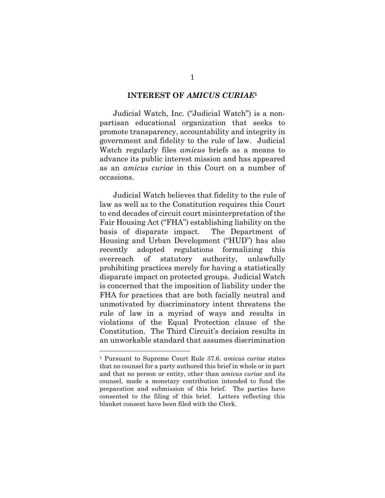#### **INTEREST OF** *AMICUS CURIAE***<sup>1</sup>**

Judicial Watch, Inc. ("Judicial Watch") is a nonpartisan educational organization that seeks to promote transparency, accountability and integrity in government and fidelity to the rule of law. Judicial Watch regularly files *amicus* briefs as a means to advance its public interest mission and has appeared as an *amicus curiae* in this Court on a number of occasions.

Judicial Watch believes that fidelity to the rule of law as well as to the Constitution requires this Court to end decades of circuit court misinterpretation of the Fair Housing Act ("FHA") establishing liability on the basis of disparate impact. The Department of Housing and Urban Development ("HUD") has also recently adopted regulations formalizing this overreach of statutory authority, unlawfully prohibiting practices merely for having a statistically disparate impact on protected groups. Judicial Watch is concerned that the imposition of liability under the FHA for practices that are both facially neutral and unmotivated by discriminatory intent threatens the rule of law in a myriad of ways and results in violations of the Equal Protection clause of the Constitution. The Third Circuit's decision results in an unworkable standard that assumes discrimination

<sup>1</sup> Pursuant to Supreme Court Rule 37.6. *amicus curiae* states that no counsel for a party authored this brief in whole or in part and that no person or entity, other than *amicus curiae* and its counsel, made a monetary contribution intended to fund the preparation and submission of this brief. The parties have consented to the filing of this brief. Letters reflecting this blanket consent have been filed with the Clerk.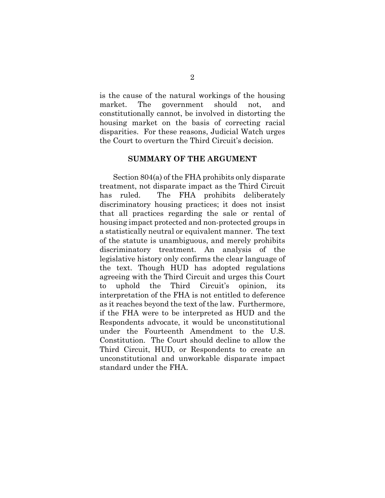is the cause of the natural workings of the housing market. The government should not, and constitutionally cannot, be involved in distorting the housing market on the basis of correcting racial disparities. For these reasons, Judicial Watch urges the Court to overturn the Third Circuit's decision.

### **SUMMARY OF THE ARGUMENT**

Section 804(a) of the FHA prohibits only disparate treatment, not disparate impact as the Third Circuit has ruled. The FHA prohibits deliberately discriminatory housing practices; it does not insist that all practices regarding the sale or rental of housing impact protected and non-protected groups in a statistically neutral or equivalent manner. The text of the statute is unambiguous, and merely prohibits discriminatory treatment. An analysis of the legislative history only confirms the clear language of the text. Though HUD has adopted regulations agreeing with the Third Circuit and urges this Court to uphold the Third Circuit's opinion, its interpretation of the FHA is not entitled to deference as it reaches beyond the text of the law. Furthermore, if the FHA were to be interpreted as HUD and the Respondents advocate, it would be unconstitutional under the Fourteenth Amendment to the U.S. Constitution. The Court should decline to allow the Third Circuit, HUD, or Respondents to create an unconstitutional and unworkable disparate impact standard under the FHA.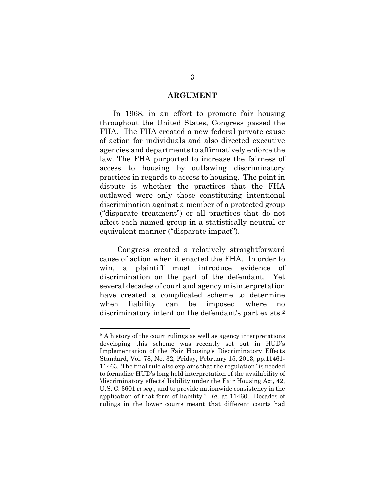#### **ARGUMENT**

In 1968, in an effort to promote fair housing throughout the United States, Congress passed the FHA. The FHA created a new federal private cause of action for individuals and also directed executive agencies and departments to affirmatively enforce the law. The FHA purported to increase the fairness of access to housing by outlawing discriminatory practices in regards to access to housing. The point in dispute is whether the practices that the FHA outlawed were only those constituting intentional discrimination against a member of a protected group ("disparate treatment") or all practices that do not affect each named group in a statistically neutral or equivalent manner ("disparate impact").

discriminatory intent on the defendant's part exists.<sup>2</sup> Congress created a relatively straightforward cause of action when it enacted the FHA. In order to win, a plaintiff must introduce evidence of discrimination on the part of the defendant. Yet several decades of court and agency misinterpretation have created a complicated scheme to determine when liability can be imposed where no

<sup>2</sup> A history of the court rulings as well as agency interpretations developing this scheme was recently set out in HUD's Implementation of the Fair Housing's Discriminatory Effects Standard, Vol. 78, No. 32, Friday, February 15, 2013, pp.11461- 11463. The final rule also explains that the regulation "is needed to formalize HUD's long held interpretation of the availability of 'discriminatory effects' liability under the Fair Housing Act, 42, U.S. C. 3601 *et seq.,* and to provide nationwide consistency in the application of that form of liability." *Id.* at 11460. Decades of rulings in the lower courts meant that different courts had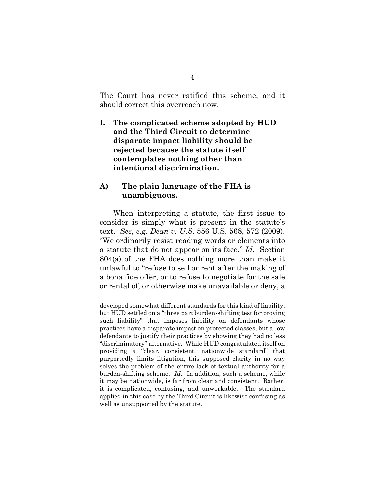<span id="page-7-0"></span>The Court has never ratified this scheme, and it should correct this overreach now.

**I. The complicated scheme adopted by HUD and the Third Circuit to determine disparate impact liability should be rejected because the statute itself contemplates nothing other than intentional discrimination.** 

### **A) The plain language of the FHA is unambiguous.**

 $\overline{a}$ 

When interpreting a statute, the first issue to consider is simply what is present in the statute's text. *See, e.g*. *Dean v. U.S*. 556 U.S. 568, 572 (2009). "We ordinarily resist reading words or elements into a statute that do not appear on its face." *Id*. Section 804(a) of the FHA does nothing more than make it unlawful to "refuse to sell or rent after the making of a bona fide offer, or to refuse to negotiate for the sale or rental of, or otherwise make unavailable or deny, a

 "discriminatory" alternative. While HUD congratulated itself on it is complicated, confusing, and unworkable. The standard developed somewhat different standards for this kind of liability, but HUD settled on a "three part burden-shifting test for proving such liability" that imposes liability on defendants whose practices have a disparate impact on protected classes, but allow defendants to justify their practices by showing they had no less providing a "clear, consistent, nationwide standard" that purportedly limits litigation, this supposed clarity in no way solves the problem of the entire lack of textual authority for a burden-shifting scheme. *Id*. In addition, such a scheme, while it may be nationwide, is far from clear and consistent. Rather, applied in this case by the Third Circuit is likewise confusing as well as unsupported by the statute.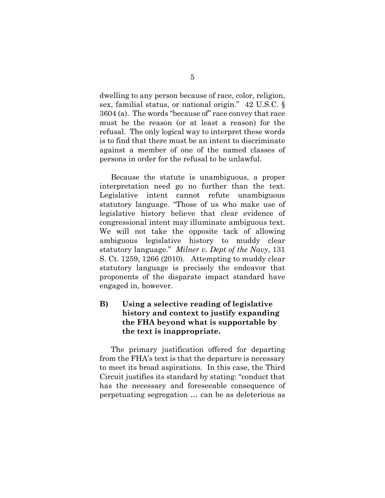<span id="page-8-0"></span>dwelling to any person because of race, color, religion, sex, familial status, or national origin." 42 U.S.C. § 3604 (a). The words "because of" race convey that race must be the reason (or at least a reason) for the refusal. The only logical way to interpret these words is to find that there must be an intent to discriminate against a member of one of the named classes of persons in order for the refusal to be unlawful.

 congressional intent may illuminate ambiguous text. Because the statute is unambiguous, a proper interpretation need go no further than the text. Legislative intent cannot refute unambiguous statutory language. "Those of us who make use of legislative history believe that clear evidence of We will not take the opposite tack of allowing ambiguous legislative history to muddy clear statutory language." *Milner v. Dept of the Navy*, 131 S. Ct. 1259, 1266 (2010). Attempting to muddy clear statutory language is precisely the endeavor that proponents of the disparate impact standard have engaged in, however.

## **B) Using a selective reading of legislative history and context to justify expanding the FHA beyond what is supportable by the text is inappropriate.**

The primary justification offered for departing from the FHA's text is that the departure is necessary to meet its broad aspirations. In this case, the Third Circuit justifies its standard by stating: "conduct that has the necessary and foreseeable consequence of perpetuating segregation … can be as deleterious as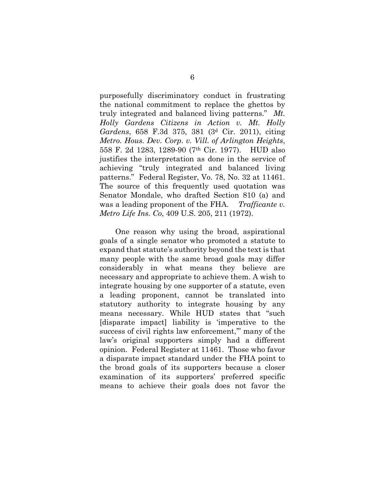<span id="page-9-0"></span>purposefully discriminatory conduct in frustrating the national commitment to replace the ghettos by truly integrated and balanced living patterns." *Mt. Holly Gardens Citizens in Action v. Mt. Holly Gardens*, 658 F.3d 375, 381 (3d Cir. 2011), citing *Metro. Hous. Dev. Corp. v. Vill. of Arlington Heights*, 558 F. 2d 1283, 1289-90 (7th Cir. 1977). HUD also justifies the interpretation as done in the service of achieving "truly integrated and balanced living patterns." Federal Register, Vo. 78, No. 32 at 11461. The source of this frequently used quotation was Senator Mondale, who drafted Section 810 (a) and was a leading proponent of the FHA. *Trafficante v. Metro Life Ins. Co*, 409 U.S. 205, 211 (1972).

One reason why using the broad, aspirational goals of a single senator who promoted a statute to expand that statute's authority beyond the text is that many people with the same broad goals may differ considerably in what means they believe are necessary and appropriate to achieve them. A wish to integrate housing by one supporter of a statute, even a leading proponent, cannot be translated into statutory authority to integrate housing by any means necessary. While HUD states that "such [disparate impact] liability is 'imperative to the success of civil rights law enforcement," many of the law's original supporters simply had a different opinion. Federal Register at 11461. Those who favor a disparate impact standard under the FHA point to the broad goals of its supporters because a closer examination of its supporters' preferred specific means to achieve their goals does not favor the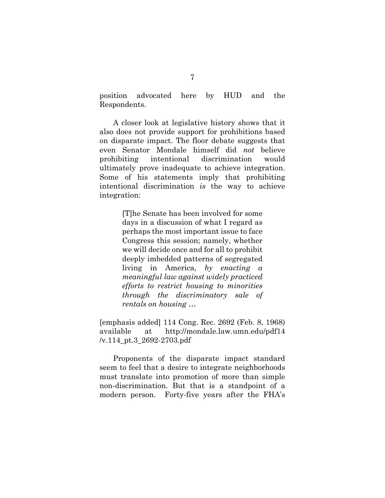<span id="page-10-0"></span>position advocated here by HUD and the Respondents.

A closer look at legislative history shows that it also does not provide support for prohibitions based on disparate impact. The floor debate suggests that even Senator Mondale himself did *not* believe prohibiting intentional discrimination would ultimately prove inadequate to achieve integration. Some of his statements imply that prohibiting intentional discrimination *is* the way to achieve integration:

> [T]he Senate has been involved for some days in a discussion of what I regard as perhaps the most important issue to face Congress this session; namely, whether we will decide once and for all to prohibit deeply imbedded patterns of segregated living in America, *by enacting a meaningful law against widely practiced efforts to restrict housing to minorities through the discriminatory sale of rentals on housing* …

[emphasis added] 114 Cong. Rec. 2692 (Feb. 8, 1968) available at http://mondale.law.umn.edu/pdf14 /v.114\_pt.3\_2692-2703.pdf

Proponents of the disparate impact standard seem to feel that a desire to integrate neighborhoods must translate into promotion of more than simple non-discrimination. But that is a standpoint of a modern person. Forty-five years after the FHA's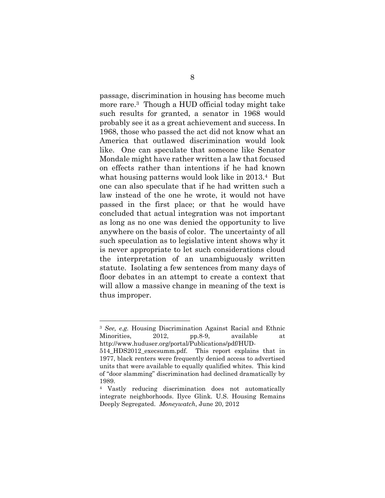<span id="page-11-0"></span>passage, discrimination in housing has become much more rare.3 Though a HUD official today might take such results for granted, a senator in 1968 would probably see it as a great achievement and success. In 1968, those who passed the act did not know what an America that outlawed discrimination would look like. One can speculate that someone like Senator Mondale might have rather written a law that focused on effects rather than intentions if he had known what housing patterns would look like in 2013.4 But one can also speculate that if he had written such a law instead of the one he wrote, it would not have passed in the first place; or that he would have concluded that actual integration was not important as long as no one was denied the opportunity to live anywhere on the basis of color. The uncertainty of all such speculation as to legislative intent shows why it is never appropriate to let such considerations cloud the interpretation of an unambiguously written statute. Isolating a few sentences from many days of floor debates in an attempt to create a context that will allow a massive change in meaning of the text is thus improper.

<sup>3</sup>*See, e.g.* Housing Discrimination Against Racial and Ethnic Minorities, 2012, pp.8-9, available at http://www.huduser.org/portal/Publications/pdf/HUD-

<sup>514</sup> HDS2012 execsumm.pdf. This report explains that in 1977, black renters were frequently denied access to advertised units that were available to equally qualified whites. This kind of "door slamming" discrimination had declined dramatically by 1989.

 Deeply Segregated. *Moneywatch*, June 20, 2012 Vastly reducing discrimination does not automatically 4integrate neighborhoods. Ilyce Glink. U.S. Housing Remains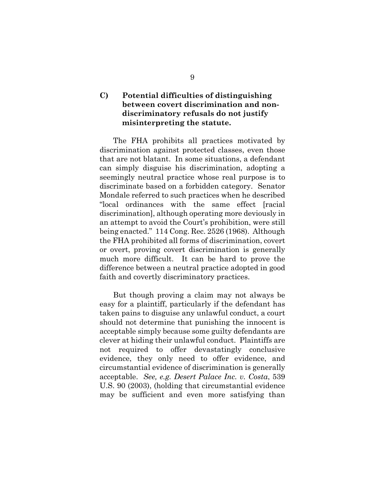## <span id="page-12-0"></span>**C) Potential difficulties of distinguishing between covert discrimination and nondiscriminatory refusals do not justify misinterpreting the statute.**

The FHA prohibits all practices motivated by discrimination against protected classes, even those that are not blatant. In some situations, a defendant can simply disguise his discrimination, adopting a seemingly neutral practice whose real purpose is to discriminate based on a forbidden category. Senator Mondale referred to such practices when he described "local ordinances with the same effect [racial discrimination], although operating more deviously in an attempt to avoid the Court's prohibition, were still being enacted." 114 Cong. Rec. 2526 (1968). Although the FHA prohibited all forms of discrimination, covert or overt, proving covert discrimination is generally much more difficult. It can be hard to prove the difference between a neutral practice adopted in good faith and covertly discriminatory practices.

But though proving a claim may not always be easy for a plaintiff, particularly if the defendant has taken pains to disguise any unlawful conduct, a court should not determine that punishing the innocent is acceptable simply because some guilty defendants are clever at hiding their unlawful conduct. Plaintiffs are not required to offer devastatingly conclusive evidence, they only need to offer evidence, and circumstantial evidence of discrimination is generally acceptable. *See, e.g. Desert Palace Inc. v. Costa*, 539 U.S. 90 (2003), (holding that circumstantial evidence may be sufficient and even more satisfying than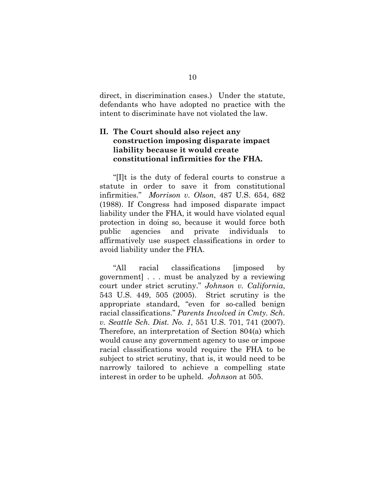<span id="page-13-0"></span>direct, in discrimination cases.) Under the statute, defendants who have adopted no practice with the intent to discriminate have not violated the law.

## **II. The Court should also reject any construction imposing disparate impact liability because it would create constitutional infirmities for the FHA.**

"[I]t is the duty of federal courts to construe a statute in order to save it from constitutional infirmities." *Morrison v. Olson*, 487 U.S. 654, 682 (1988). If Congress had imposed disparate impact liability under the FHA, it would have violated equal protection in doing so, because it would force both public agencies and private individuals to affirmatively use suspect classifications in order to avoid liability under the FHA.

"All racial classifications [imposed by government] . . . must be analyzed by a reviewing court under strict scrutiny." *Johnson v. California*, 543 U.S. 449, 505 (2005). Strict scrutiny is the appropriate standard, "even for so-called benign racial classifications." *Parents Involved in Cmty. Sch. v. Seattle Sch. Dist. No. 1*, 551 U.S. 701, 741 (2007). Therefore, an interpretation of Section 804(a) which would cause any government agency to use or impose racial classifications would require the FHA to be subject to strict scrutiny, that is, it would need to be narrowly tailored to achieve a compelling state interest in order to be upheld. *Johnson* at 505.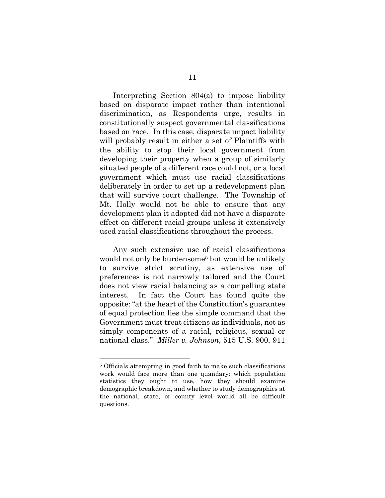<span id="page-14-0"></span>Interpreting Section 804(a) to impose liability based on disparate impact rather than intentional discrimination, as Respondents urge, results in constitutionally suspect governmental classifications based on race. In this case, disparate impact liability will probably result in either a set of Plaintiffs with the ability to stop their local government from developing their property when a group of similarly situated people of a different race could not, or a local government which must use racial classifications deliberately in order to set up a redevelopment plan that will survive court challenge. The Township of Mt. Holly would not be able to ensure that any development plan it adopted did not have a disparate effect on different racial groups unless it extensively used racial classifications throughout the process.

Any such extensive use of racial classifications would not only be burdensome<sup>5</sup> but would be unlikely to survive strict scrutiny, as extensive use of preferences is not narrowly tailored and the Court does not view racial balancing as a compelling state interest. In fact the Court has found quite the opposite: "at the heart of the Constitution's guarantee of equal protection lies the simple command that the Government must treat citizens as individuals, not as simply components of a racial, religious, sexual or national class." *Miller v. Johnson*, 515 U.S. 900, 911

<sup>5</sup> Officials attempting in good faith to make such classifications work would face more than one quandary: which population statistics they ought to use, how they should examine demographic breakdown, and whether to study demographics at the national, state, or county level would all be difficult questions.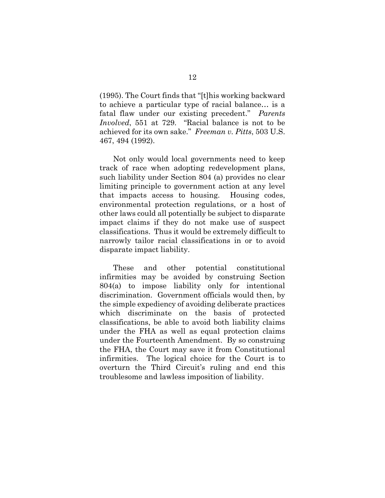<span id="page-15-0"></span>(1995). The Court finds that "[t]his working backward to achieve a particular type of racial balance… is a fatal flaw under our existing precedent." *Parents Involved*, 551 at 729. "Racial balance is not to be achieved for its own sake." *Freeman v. Pitts*, 503 U.S. 467, 494 (1992).

Not only would local governments need to keep track of race when adopting redevelopment plans, such liability under Section 804 (a) provides no clear limiting principle to government action at any level that impacts access to housing. Housing codes, environmental protection regulations, or a host of other laws could all potentially be subject to disparate impact claims if they do not make use of suspect classifications. Thus it would be extremely difficult to narrowly tailor racial classifications in or to avoid disparate impact liability.

These and other potential constitutional infirmities may be avoided by construing Section 804(a) to impose liability only for intentional discrimination. Government officials would then, by the simple expediency of avoiding deliberate practices which discriminate on the basis of protected classifications, be able to avoid both liability claims under the FHA as well as equal protection claims under the Fourteenth Amendment. By so construing the FHA, the Court may save it from Constitutional infirmities. The logical choice for the Court is to overturn the Third Circuit's ruling and end this troublesome and lawless imposition of liability.